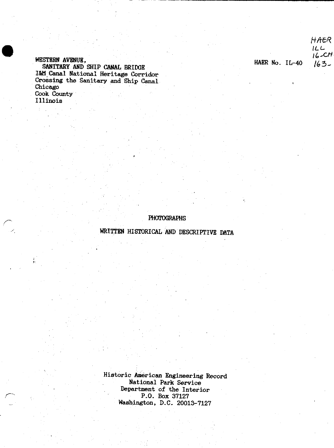### WESTERN AVENUE, SANITARY AND SHIP CANAL BRIDGE 1&M Canal National Heritage Corridor Crossing the Sanitary and Ship Canal Chicago Cook County

Illinois

HAER  $ILL$  $16 - CH$ HAER No. IL-40  $163-$ 

## **PHOTOGRAPHS**

WRITTEN HISTORICAL AND DESCRIPTIVE DATA

Historic American Engineering Record National Park Service Department of the Interior P.O. Box 37127 Washington, D.C. 20013-7127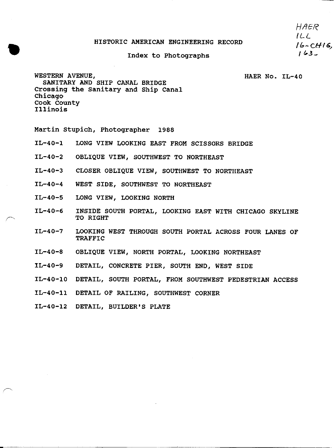#### HISTORIC AMERICAN ENGINEERING RECORD

# Index to Photographs ' / 63

HAER  $1LL$ <br> $16-CH16$ 

WESTERN AVENUE, THE RESOLUTION OF THE RESOLUTION OF THE RESOLUTION OF THE RESOLUTION OF THE RESOLUTION OF THE RESOLUTION OF THE RESOLUTION OF THE RESOLUTION OF THE RESOLUTION OF THE RESOLUTION OF THE RESOLUTION OF THE RESO SANITARY AND SHIP CANAL BRIDGE Crossing the Sanitary and Ship Canal Chicago Cook County Illinois

Martin Stupich, Photographer 1988

- IL-40-1 LONG VIEW LOOKING EAST FROM SCISSORS BRIDGE
- IL-40-2 OBLIQUE VIEW, SOUTHWEST TO NORTHEAST
- IL-40-3 CLOSER OBLIQUE VIEW, SOUTHWEST TO NORTHEAST
- IL-40-4 WEST SIDE, SOUTHWEST TO NORTHEAST
- IL-40-5 LONG VIEW, LOOKING NORTH
- IL-40-6 INSIDE SOUTH PORTAL, LOOKING EAST WITH CHICAGO SKYLINE TO RIGHT
- IL-40-7 LOOKING WEST THROUGH SOUTH PORTAL ACROSS FOUR LANES OF TRAFFIC
- IL-40-8 OBLIQUE VIEW, NORTH PORTAL, LOOKING NORTHEAST
- IL-40-9 DETAIL, CONCRETE PIER, SOUTH END, WEST SIDE
- IL-40-10 DETAIL, SOUTH PORTAL, FROM SOUTHWEST PEDESTRIAN ACCESS
- IL-40-11 DETAIL OF RAILING, SOUTHWEST CORNER
- IL-40-12 DETAIL, BUILDER'S PLATE